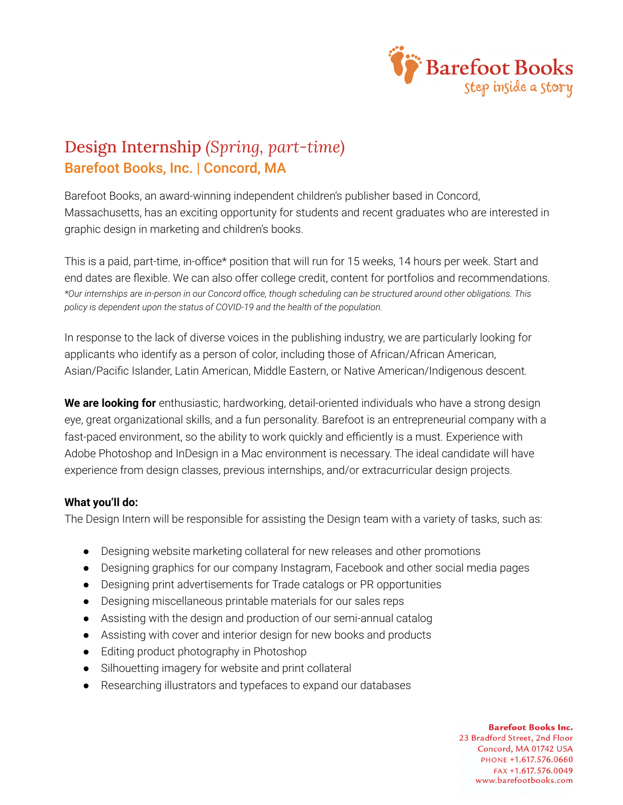

## Design Internship *(Spring, part-time)* Barefoot Books, Inc. | Concord, MA

Barefoot Books, an award-winning independent children's publisher based in Concord, Massachusetts, has an exciting opportunity for students and recent graduates who are interested in graphic design in marketing and children's books.

This is a paid, part-time, in-office\* position that will run for 15 weeks, 14 hours per week. Start and end dates are flexible. We can also offer college credit, content for portfolios and recommendations. *\*Our internships are in-person in our Concord office, though scheduling can be structured around other obligations. This policy is dependent upon the status of COVID-19 and the health of the population.*

In response to the lack of diverse voices in the publishing industry, we are particularly looking for applicants who identify as a person of color, including those of African/African American, Asian/Pacific Islander, Latin American, Middle Eastern, or Native American/Indigenous descent.

**We are looking for** enthusiastic, hardworking, detail-oriented individuals who have a strong design eye, great organizational skills, and a fun personality. Barefoot is an entrepreneurial company with a fast-paced environment, so the ability to work quickly and efficiently is a must. Experience with Adobe Photoshop and InDesign in a Mac environment is necessary. The ideal candidate will have experience from design classes, previous internships, and/or extracurricular design projects.

## **What you'll do:**

The Design Intern will be responsible for assisting the Design team with a variety of tasks, such as:

- Designing website marketing collateral for new releases and other promotions
- Designing graphics for our company Instagram, Facebook and other social media pages
- Designing print advertisements for Trade catalogs or PR opportunities
- Designing miscellaneous printable materials for our sales reps
- Assisting with the design and production of our semi-annual catalog
- Assisting with cover and interior design for new books and products
- Editing product photography in Photoshop
- Silhouetting imagery for website and print collateral
- Researching illustrators and typefaces to expand our databases

**Barefoot Books Inc.** 23 Bradford Street, 2nd Floor Concord, MA 01742 USA PHONE +1.617.576.0660 FAX +1.617.576.0049 www.barefootbooks.com